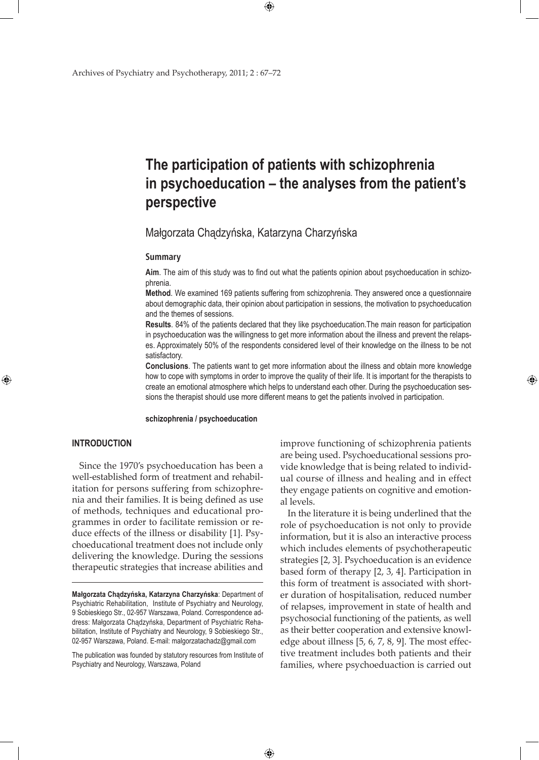# **The participation of patients with schizophrenia in psychoeducation – the analyses from the patient's perspective**

# Małgorzata Chądzyńska, Katarzyna Charzyńska

 $\bigoplus$ 

#### **Summary**

**Aim**. The aim of this study was to find out what the patients opinion about psychoeducation in schizophrenia.

**Method**. We examined 169 patients suffering from schizophrenia. They answered once a questionnaire about demographic data, their opinion about participation in sessions, the motivation to psychoeducation and the themes of sessions.

**Results**. 84% of the patients declared that they like psychoeducation.The main reason for participation in psychoeducation was the willingness to get more information about the illness and prevent the relapses. Approximately 50% of the respondents considered level of their knowledge on the illness to be not satisfactory.

**Conclusions**. The patients want to get more information about the illness and obtain more knowledge how to cope with symptoms in order to improve the quality of their life. It is important for the therapists to create an emotional atmosphere which helps to understand each other. During the psychoeducation sessions the therapist should use more different means to get the patients involved in participation.

 $\bigoplus$ 

#### **schizophrenia / psychoeducation**

#### **INTRODUCTION**

⊕

Since the 1970's psychoeducation has been a well-established form of treatment and rehabilitation for persons suffering from schizophrenia and their families. It is being defined as use of methods, techniques and educational programmes in order to facilitate remission or reduce effects of the illness or disability [1]. Psychoeducational treatment does not include only delivering the knowledge. During the sessions therapeutic strategies that increase abilities and

The publication was founded by statutory resources from Institute of Psychiatry and Neurology, Warszawa, Poland

improve functioning of schizophrenia patients are being used. Psychoeducational sessions provide knowledge that is being related to individual course of illness and healing and in effect they engage patients on cognitive and emotional levels.

⊕

In the literature it is being underlined that the role of psychoeducation is not only to provide information, but it is also an interactive process which includes elements of psychotherapeutic strategies [2, 3]. Psychoeducation is an evidence based form of therapy [2, 3, 4]. Participation in this form of treatment is associated with shorter duration of hospitalisation, reduced number of relapses, improvement in state of health and psychosocial functioning of the patients, as well as their better cooperation and extensive knowledge about illness [5, 6, 7, 8, 9]. The most effective treatment includes both patients and their families, where psychoeduaction is carried out

**Małgorzata Chądzyńska, Katarzyna Charzyńska**: Department of Psychiatric Rehabilitation, Institute of Psychiatry and Neurology, 9 Sobieskiego Str., 02-957 Warszawa, Poland. Correspondence address: Małgorzata Chądzyńska, Department of Psychiatric Rehabilitation, Institute of Psychiatry and Neurology, 9 Sobieskiego Str., 02-957 Warszawa, Poland. E-mail: malgorzatachadz@gmail.com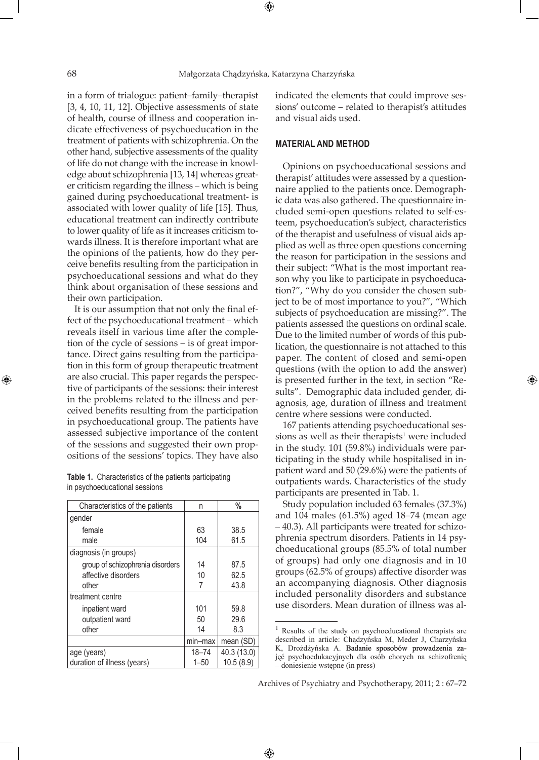⊕

in a form of trialogue: patient–family–therapist [3, 4, 10, 11, 12]. Objective assessments of state of health, course of illness and cooperation indicate effectiveness of psychoeducation in the treatment of patients with schizophrenia. On the other hand, subjective assessments of the quality of life do not change with the increase in knowledge about schizophrenia [13, 14] whereas greater criticism regarding the illness – which is being gained during psychoeducational treatment- is associated with lower quality of life [15]. Thus, educational treatment can indirectly contribute to lower quality of life as it increases criticism towards illness. It is therefore important what are the opinions of the patients, how do they perceive benefits resulting from the participation in psychoeducational sessions and what do they think about organisation of these sessions and their own participation.

It is our assumption that not only the final effect of the psychoeducational treatment – which reveals itself in various time after the completion of the cycle of sessions – is of great importance. Direct gains resulting from the participation in this form of group therapeutic treatment are also crucial. This paper regards the perspective of participants of the sessions: their interest in the problems related to the illness and perceived benefits resulting from the participation in psychoeducational group. The patients have assessed subjective importance of the content of the sessions and suggested their own propositions of the sessions' topics. They have also

| <b>Table 1.</b> Characteristics of the patients participating |  |
|---------------------------------------------------------------|--|
| in psychoeducational sessions                                 |  |

| Characteristics of the patients  | n        | %           |
|----------------------------------|----------|-------------|
| gender                           |          |             |
| female                           | 63       | 38.5        |
| male                             | 104      | 61.5        |
| diagnosis (in groups)            |          |             |
| group of schizophrenia disorders | 14       | 87.5        |
| affective disorders              | 10       | 62.5        |
| other                            | 7        | 43.8        |
| treatment centre                 |          |             |
| inpatient ward                   | 101      | 59.8        |
| outpatient ward                  | 50       | 29.6        |
| other                            | 14       | 8.3         |
|                                  | min-max  | mean (SD)   |
| age (years)                      | 18-74    | 40.3 (13.0) |
| duration of illness (years)      | $1 - 50$ | 10.5 (8.9)  |

indicated the elements that could improve sessions' outcome – related to therapist's attitudes and visual aids used.

### **MATERIAL AND METHOD**

Opinions on psychoeducational sessions and therapist' attitudes were assessed by a questionnaire applied to the patients once. Demographic data was also gathered. The questionnaire included semi-open questions related to self-esteem, psychoeducation's subject, characteristics of the therapist and usefulness of visual aids applied as well as three open questions concerning the reason for participation in the sessions and their subject: "What is the most important reason why you like to participate in psychoeducation?", "Why do you consider the chosen subject to be of most importance to you?", "Which subjects of psychoeducation are missing?". The patients assessed the questions on ordinal scale. Due to the limited number of words of this publication, the questionnaire is not attached to this paper. The content of closed and semi-open questions (with the option to add the answer) is presented further in the text, in section "Results". Demographic data included gender, diagnosis, age, duration of illness and treatment centre where sessions were conducted.

167 patients attending psychoeducational sessions as well as their therapists $1$  were included in the study. 101 (59.8%) individuals were participating in the study while hospitalised in inpatient ward and 50 (29.6%) were the patients of outpatients wards. Characteristics of the study participants are presented in Tab. 1.

Study population included 63 females (37.3%) and 104 males (61.5%) aged 18–74 (mean age – 40.3). All participants were treated for schizophrenia spectrum disorders. Patients in 14 psychoeducational groups (85.5% of total number of groups) had only one diagnosis and in 10 groups (62.5% of groups) affective disorder was an accompanying diagnosis. Other diagnosis included personality disorders and substance use disorders. Mean duration of illness was al-

 $\bigoplus$ 

⊕

<sup>&</sup>lt;sup>1</sup> Results of the study on psychoeducational therapists are described in article: Chądzyńska M, Meder J, Charzyńska K, Drożdżyńska A. Badanie sposobów prowadzenia zajęć psychoedukacyjnych dla osób chorych na schizofrenię – doniesienie wstępne (in press)

Archives of Psychiatry and Psychotherapy, 2011; 2 : 67–72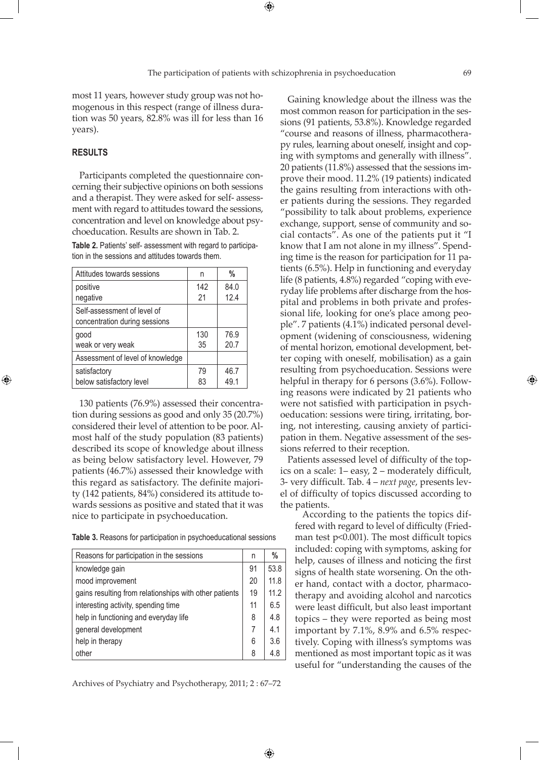⊕

most 11 years, however study group was not homogenous in this respect (range of illness duration was 50 years, 82.8% was ill for less than 16 years).

## **RESULTS**

⊕

Participants completed the questionnaire concerning their subjective opinions on both sessions and a therapist. They were asked for self- assessment with regard to attitudes toward the sessions, concentration and level on knowledge about psychoeducation. Results are shown in Tab. 2.

**Table 2.** Patients' self- assessment with regard to participation in the sessions and attitudes towards them.

| Attitudes towards sessions                                   | n   | %    |
|--------------------------------------------------------------|-----|------|
| positive                                                     | 142 | 84.0 |
| negative                                                     | 21  | 12.4 |
| Self-assessment of level of<br>concentration during sessions |     |      |
| good                                                         | 130 | 76.9 |
| weak or very weak                                            | 35  | 20.7 |
| Assessment of level of knowledge                             |     |      |
| satisfactory                                                 | 79  | 46.7 |
| below satisfactory level                                     | 83  | 49.1 |

130 patients (76.9%) assessed their concentration during sessions as good and only 35 (20.7%) considered their level of attention to be poor. Almost half of the study population (83 patients) described its scope of knowledge about illness as being below satisfactory level. However, 79 patients (46.7%) assessed their knowledge with this regard as satisfactory. The definite majority (142 patients, 84%) considered its attitude towards sessions as positive and stated that it was nice to participate in psychoeducation.

| Reasons for participation in the sessions              |    | %    |
|--------------------------------------------------------|----|------|
| knowledge gain                                         | 91 | 53.8 |
| mood improvement                                       | 20 | 11.8 |
| gains resulting from relationships with other patients | 19 | 112  |
| interesting activity, spending time                    | 11 | 6.5  |
| help in functioning and everyday life                  | 8  | 4.8  |
| general development                                    | 7  | 4.1  |
| help in therapy                                        | 6  | 3.6  |
| other                                                  | 8  | 4.8  |

Archives of Psychiatry and Psychotherapy, 2011; 2 : 67–72

 $\bigoplus$ 

Gaining knowledge about the illness was the most common reason for participation in the sessions (91 patients, 53.8%). Knowledge regarded "course and reasons of illness, pharmacotherapy rules, learning about oneself, insight and coping with symptoms and generally with illness". 20 patients (11.8%) assessed that the sessions improve their mood. 11.2% (19 patients) indicated the gains resulting from interactions with other patients during the sessions. They regarded "possibility to talk about problems, experience exchange, support, sense of community and social contacts". As one of the patients put it "I know that I am not alone in my illness". Spending time is the reason for participation for 11 patients (6.5%). Help in functioning and everyday life (8 patients, 4.8%) regarded "coping with everyday life problems after discharge from the hospital and problems in both private and professional life, looking for one's place among people". 7 patients (4.1%) indicated personal development (widening of consciousness, widening of mental horizon, emotional development, better coping with oneself, mobilisation) as a gain resulting from psychoeducation. Sessions were helpful in therapy for 6 persons (3.6%). Following reasons were indicated by 21 patients who were not satisfied with participation in psychoeducation: sessions were tiring, irritating, boring, not interesting, causing anxiety of participation in them. Negative assessment of the sessions referred to their reception.

Patients assessed level of difficulty of the topics on a scale: 1– easy, 2 – moderately difficult, 3- very difficult. Tab. 4 – *next page*, presents level of difficulty of topics discussed according to the patients.

According to the patients the topics differed with regard to level of difficulty (Friedman test p<0.001). The most difficult topics included: coping with symptoms, asking for help, causes of illness and noticing the first signs of health state worsening. On the other hand, contact with a doctor, pharmacotherapy and avoiding alcohol and narcotics were least difficult, but also least important topics – they were reported as being most important by 7.1%, 8.9% and 6.5% respectively. Coping with illness's symptoms was mentioned as most important topic as it was useful for "understanding the causes of the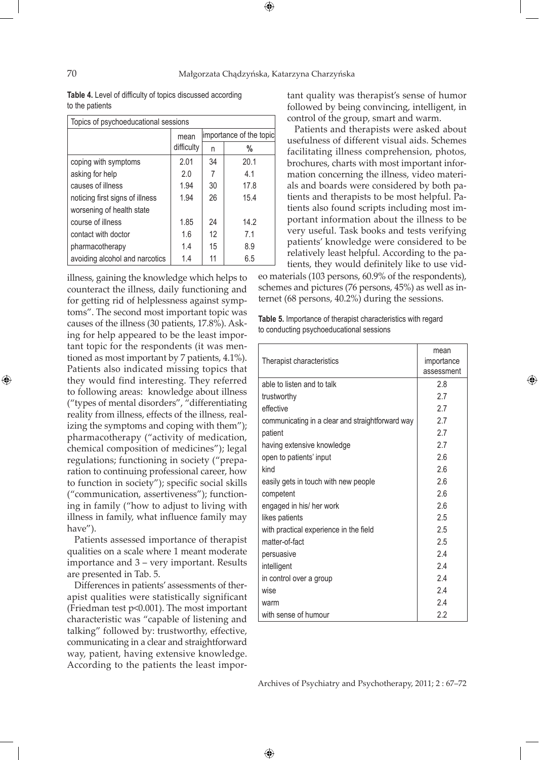$\bigoplus$ 

**Table 4.** Level of difficulty of topics discussed according to the patients

| Topics of psychoeducational sessions |            |                         |      |
|--------------------------------------|------------|-------------------------|------|
|                                      | mean       | importance of the topic |      |
|                                      | difficulty | n                       | %    |
| coping with symptoms                 | 2.01       | 34                      | 20.1 |
| asking for help                      | 2.0        | 7                       | 4.1  |
| causes of illness                    | 1.94       | 30                      | 17.8 |
| noticing first signs of illness      | 1.94       | 26                      | 15.4 |
| worsening of health state            |            |                         |      |
| course of illness                    | 1.85       | 24                      | 14.2 |
| contact with doctor                  | 1.6        | 12                      | 71   |
| pharmacotherapy                      | 1.4        | 15                      | 8.9  |
| avoiding alcohol and narcotics       | 1.4        | 11                      | 6.5  |

illness, gaining the knowledge which helps to counteract the illness, daily functioning and for getting rid of helplessness against symptoms". The second most important topic was causes of the illness (30 patients, 17.8%). Asking for help appeared to be the least important topic for the respondents (it was mentioned as most important by 7 patients, 4.1%). Patients also indicated missing topics that they would find interesting. They referred to following areas: knowledge about illness ("types of mental disorders", "differentiating reality from illness, effects of the illness, realizing the symptoms and coping with them"); pharmacotherapy ("activity of medication, chemical composition of medicines"); legal regulations; functioning in society ("preparation to continuing professional career, how to function in society"); specific social skills ("communication, assertiveness"); functioning in family ("how to adjust to living with illness in family, what influence family may have").

Patients assessed importance of therapist qualities on a scale where 1 meant moderate importance and 3 – very important. Results are presented in Tab. 5.

Differences in patients' assessments of therapist qualities were statistically significant (Friedman test p<0.001). The most important characteristic was "capable of listening and talking" followed by: trustworthy, effective, communicating in a clear and straightforward way, patient, having extensive knowledge. According to the patients the least important quality was therapist's sense of humor followed by being convincing, intelligent, in control of the group, smart and warm.

Patients and therapists were asked about usefulness of different visual aids. Schemes facilitating illness comprehension, photos, brochures, charts with most important information concerning the illness, video materials and boards were considered by both patients and therapists to be most helpful. Patients also found scripts including most important information about the illness to be very useful. Task books and tests verifying patients' knowledge were considered to be relatively least helpful. According to the patients, they would definitely like to use vid-

eo materials (103 persons, 60.9% of the respondents), schemes and pictures (76 persons, 45%) as well as internet (68 persons, 40.2%) during the sessions.

⊕

**Table 5.** Importance of therapist characteristics with regard to conducting psychoeducational sessions

| Therapist characteristics                        | mean<br>importance<br>assessment |
|--------------------------------------------------|----------------------------------|
| able to listen and to talk                       | 2.8                              |
| trustworthy                                      | 2.7                              |
| effective                                        | 2.7                              |
| communicating in a clear and straightforward way | 2.7                              |
| patient                                          | 2.7                              |
| having extensive knowledge                       | 2.7                              |
| open to patients' input                          | 2.6                              |
| kind                                             | 2.6                              |
| easily gets in touch with new people             | 2.6                              |
| competent                                        | 2.6                              |
| engaged in his/ her work                         | 2.6                              |
| likes patients                                   | 2.5                              |
| with practical experience in the field           | 2.5                              |
| matter-of-fact                                   | 2.5                              |
| persuasive                                       | 24                               |
| intelligent                                      | 2.4                              |
| in control over a group                          | 2.4                              |
| wise                                             | 2.4                              |
| warm                                             | 2.4                              |
| with sense of humour                             | 2.2                              |

Archives of Psychiatry and Psychotherapy, 2011; 2 : 67–72

 $\bigoplus$ 

⊕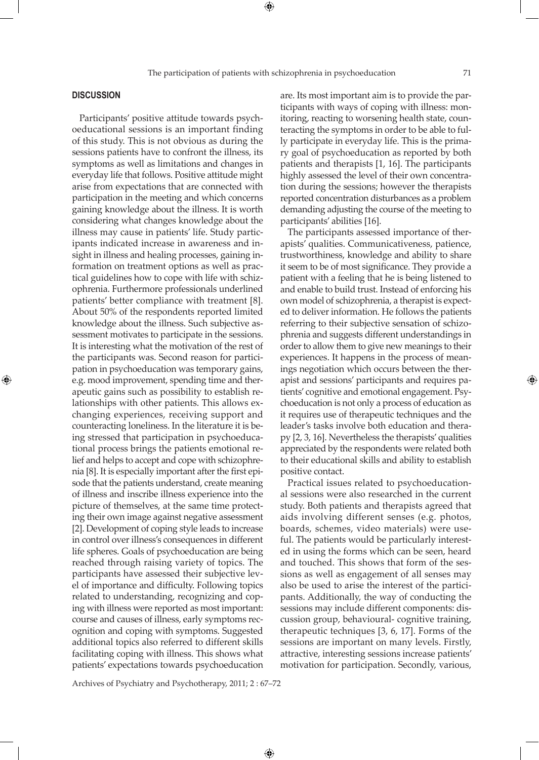## **DISCUSSION**

⊕

Participants' positive attitude towards psychoeducational sessions is an important finding of this study. This is not obvious as during the sessions patients have to confront the illness, its symptoms as well as limitations and changes in everyday life that follows. Positive attitude might arise from expectations that are connected with participation in the meeting and which concerns gaining knowledge about the illness. It is worth considering what changes knowledge about the illness may cause in patients' life. Study participants indicated increase in awareness and insight in illness and healing processes, gaining information on treatment options as well as practical guidelines how to cope with life with schizophrenia. Furthermore professionals underlined patients' better compliance with treatment [8]. About 50% of the respondents reported limited knowledge about the illness. Such subjective assessment motivates to participate in the sessions. It is interesting what the motivation of the rest of the participants was. Second reason for participation in psychoeducation was temporary gains, e.g. mood improvement, spending time and therapeutic gains such as possibility to establish relationships with other patients. This allows exchanging experiences, receiving support and counteracting loneliness. In the literature it is being stressed that participation in psychoeducational process brings the patients emotional relief and helps to accept and cope with schizophrenia [8]. It is especially important after the first episode that the patients understand, create meaning of illness and inscribe illness experience into the picture of themselves, at the same time protecting their own image against negative assessment [2]. Development of coping style leads to increase in control over illness's consequences in different life spheres. Goals of psychoeducation are being reached through raising variety of topics. The participants have assessed their subjective level of importance and difficulty. Following topics related to understanding, recognizing and coping with illness were reported as most important: course and causes of illness, early symptoms recognition and coping with symptoms. Suggested additional topics also referred to different skills facilitating coping with illness. This shows what patients' expectations towards psychoeducation

are. Its most important aim is to provide the participants with ways of coping with illness: monitoring, reacting to worsening health state, counteracting the symptoms in order to be able to fully participate in everyday life. This is the primary goal of psychoeducation as reported by both patients and therapists [1, 16]. The participants highly assessed the level of their own concentration during the sessions; however the therapists reported concentration disturbances as a problem demanding adjusting the course of the meeting to participants' abilities [16].

The participants assessed importance of therapists' qualities. Communicativeness, patience, trustworthiness, knowledge and ability to share it seem to be of most significance. They provide a patient with a feeling that he is being listened to and enable to build trust. Instead of enforcing his own model of schizophrenia, a therapist is expected to deliver information. He follows the patients referring to their subjective sensation of schizophrenia and suggests different understandings in order to allow them to give new meanings to their experiences. It happens in the process of meanings negotiation which occurs between the therapist and sessions' participants and requires patients' cognitive and emotional engagement. Psychoeducation is not only a process of education as it requires use of therapeutic techniques and the leader's tasks involve both education and therapy [2, 3, 16]. Nevertheless the therapists' qualities appreciated by the respondents were related both to their educational skills and ability to establish positive contact.

Practical issues related to psychoeducational sessions were also researched in the current study. Both patients and therapists agreed that aids involving different senses (e.g. photos, boards, schemes, video materials) were useful. The patients would be particularly interested in using the forms which can be seen, heard and touched. This shows that form of the sessions as well as engagement of all senses may also be used to arise the interest of the participants. Additionally, the way of conducting the sessions may include different components: discussion group, behavioural- cognitive training, therapeutic techniques [3, 6, 17]. Forms of the sessions are important on many levels. Firstly, attractive, interesting sessions increase patients' motivation for participation. Secondly, various,

Archives of Psychiatry and Psychotherapy, 2011; 2 : 67–72

⊕